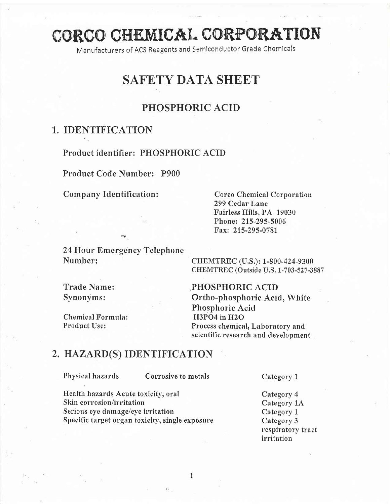# CORCO CHEMICAL CORPORATION

Manufacturers of ACS Reagents and Semlconductor Grade Chemlcals

# SAFETY DATA SHEET

#### PHOSPHORIC ACID

## 1.. IDENTIFICATION

Product identifier: PHOSPHORIC ACID

Product Code Number: P900

Company Identification :

24 Hour Emergency Telephone Num ber:

Trade Name: Synonyms:

Chemical Formula; Product Use:

Corco Chemical Corporation 299 Cedar Lane Fairless Hills, PA 19030 Phone: 215-295-5006 Fax: 215-295-0781

CHEMTREC (U,S.): 1-800-424-9300 CHEMTREC (Outside U.S. 1-703-527-3887

PFIOSPHORIC ACID Ortho-phosphoric Acid, White Phosphoric Acid H3PO4 in H2O Process chemical, Laboratory and scientific research and development

#### 2, HAZARD(S) IDENTIFICATION

Physical hazards Corrosive to metals

Health hazards Acute toxicity, oral Skin corrosion/irritation Serious eye damage/eye irritation Specific target organ toxicity, single exposure Category 3

Category <sup>1</sup>

respiratory tract irritation Category 4 Category 1A Category 1

 $\mathbf{1}$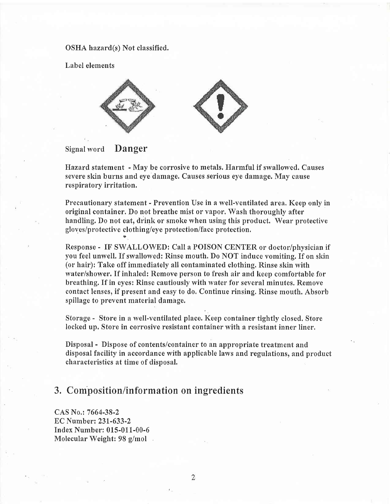OSHA hazard(s) Not classified.

Label elements





Signal word Danger

Hazard statement - May be corrosive to metals. Harmful if swallowed. Causes severe skin burns and eye damage. Causes serious eye damage. May cause respiratory irritation,

Precautionary statement - Prevention Use in a well-ventilated area. Keep only in original container, Do not breathe mist or yapor, Wash thoroughly after handling, Do not eat, drink or smoke when using this product. Wear protective gloves/protective clothing/eye protection/face protection.

Response - IF SWALLOWED: Call a POISON CENTER or doctor/physician if you feel unwell. If swallowed: Rinse mouth, Do NOT induce vomiting. If on skin (or hair): Take off immediately all contaminated clothing, Rinse skin with water/shower. If inhaled: Remove person to fresh air and heep comfortable for breathing. If in eyes: Rinse cautiously with water for several minutes. Remove contact lenses, if present and easy to do, Continue rinsing, Rinse mouth. Absorb spillage to prevent material damage,

Storage - Store in a well-ventilated place. Keep container tightly closed. Store locked up, Store in corrosive resistant container with a resistant inner liner,

Disposal - Dispose of contents/container to an appropriate treatment and disposal facility in accordance with applicable laws and regulations, and product characteristics at time of disposal,

#### 3. Composition/information on ingredients

CAS No.: 7664-38-2 EC Number:  $231-633-2$ Index Number: 015-011-00-6 Molecular Weight: 98 g/mol

 $\overline{2}$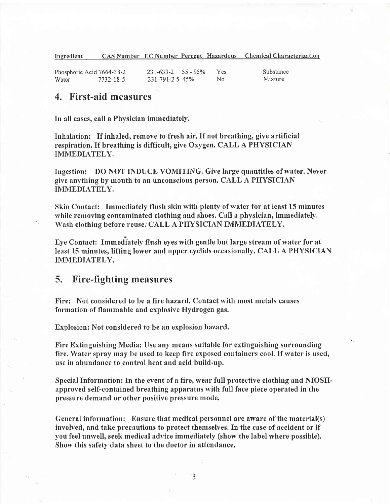| <u>Ingredient</u> |  |  | <b>CAS Number EC Number Percent Hazardous Chemical Characterization</b> |
|-------------------|--|--|-------------------------------------------------------------------------|
|                   |  |  |                                                                         |
|                   |  |  |                                                                         |

| Phosphoric Acid 7664-38-2 |           | $231 - 633 - 2$ 55 - 95% | - Yes | Substance |
|---------------------------|-----------|--------------------------|-------|-----------|
| Water                     | 7732-18-5 | 231-791-25 45%           | No.   | Mixture   |

#### 4, First-aid measures

In all cases, call a Physician immediately.

Inhalation: If inhaled, remove to fresh air, If not breathing, give artificial respiration. If breathing is difficult, give Oxygen. CALL A PHYSICIAN IMMEDIATELY.

Ingestion: DO NOT INDUCE VOMITING. Give large quantities of water. Never give anything by mouth to an unconscious person. CALL A PHYSICIAN IMMEDIATELY.

Skin Contact: Immediately flush skin with plenty of water for at least 15 minutes while removing contaminated clothing and shoes. Call a physician, immediately. Wash clothing before reuse. CALL A PHYSICIAN IMMEDIATELY.

Eye Contact: Immediately flush eyes with gentle but large stream of water for at least 15 minutes, lifting lower and upper eyelids occasionally. CALL A PHYSICIAN **IMMEDIATELY.** 

#### 5. Fire-fighting measures

Fire: Not considered to be a fire hazard, Contact with most metals causes formation of flammable and explosive Hydrogen gas.

Explosion: Not considered to be an explosion hazard,

Fire Extinguishing Media: Use any means suitable for extinguishing surrounding fire, Water spray may be used to keep fire exposed containers cool. If water is used, use in abundance to control heat and acid build-up.

Special Information: In the event of a fire, wear full protective clothing and NIOSHapproved self-contained breathing apparatus with full face piece operated in the pressure demand or other positive pressure mode.

General information: Ensure that medical personnel are aware of the material(s) involved, and take precautions to protect themselves. In the case of accident or if you feel unwell, seek medical advice immediately (show the label where possible). Show this safetv data sheet to the doctor in attendance.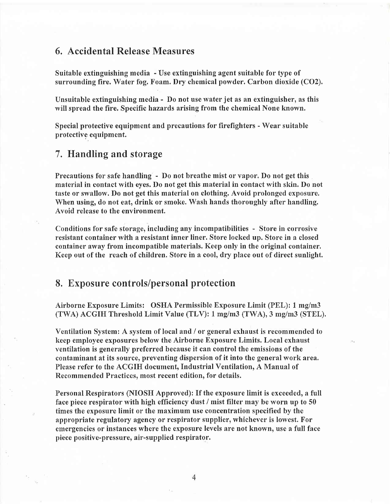#### 6, Accidental Release Measures

Suitable extinguishing media - Use extinguishing agent suitable for type of surrounding fire. Water fog. Foam. Dry chemical powder. Carbon dioxide (CO2).

Unsuitable extinguishing media - Do not use water jet as an extinguisher, as this will spread the fire. Specific hazards arising from the chemical None known.

Special protective equipment and precautions for firefighters - Wear suitable protective equipment.

#### 7. Handling and storage

Precautions for safe handling - Do not breathe mist or vapor. Do not get this material in contact with eyes. Do not get this material in contact with skin. Do not taste or swallow. Do not get this material on clothing. Avoid prolonged exposure. When using, do not eat, drink or smoke. Wash hands thoroughly after handling. Avoid release to the environment.

Conditions for safe storage, including any incompatibilities - Store in corrosive resistant container wtfh a resistant inner liner. Store locked up. Store in a closed container away from incompatible materials. Keep only in the original container. Keep out of the reach of children. Store in a cool, dry place out of direct sunlight.

#### 8. Exposure controls/personal protection

Airborne Exposure Limits: OSHA Permissible Exposure Limit (PEL): 1 mg/m3 (TWA) ACGIH Threshold Limit Value (TLV): 1 mg/m3 (TWA), 3 mg/m3 (STEL).

Ventilation System: A system of local and / or general exhaust is recommended to heep employee exposures below the Airborne Exposure Limits. Local exhaust ventilation is generally preferred because it can control the emissions of the contaminant at its source, preventing dispersion of it into the general work area. Please refer to the ACGIH document, Industrial Ventilation, A Manual of Recommended Practices, most recent edition, for details.

Personal Respirators (NIOSH Approved): If the exposure limit is exceeded, a full face piece respirator with high efficiency dust / mist filter may be worn up to 50 times the exposure limit or the maximum use concentration specified by the appropriate regulatory agency or respirator supplier, whichever is lowest. For emergencies or instances where the exposure levels are not known, use a full face piece positive-pressure, air-supplied respirator.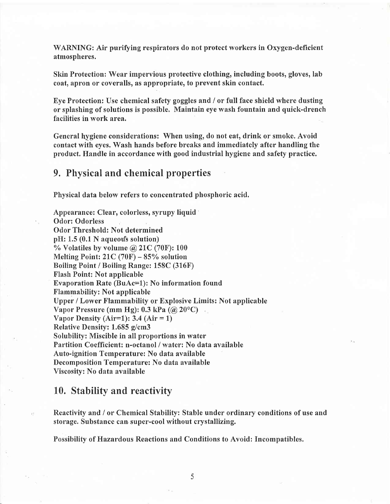WARNING: Air purifying respirators do not protect workers in Oxygen-deficient atmospheres.

Skin Protection: Wear impervious protective clothing, including boots, gloves, lab coat, apron or coveralls, as appropriate, to prevent skin contact.

Eye Protection: Use chemical safety goggles and / or full face shield where dusting or splashing of solutions is possible. Maintain eye wash fountain and quick-drench facilities in work area.

General hygiene considerations: When using, do not eat, drink or smoke. Avoid contact with eyes. Wash hands before breaks and immediately after handling the product, Handle in accordance with good industrial hygiene and safety practice.

#### 9. Physical and chemical properties

Physical data below refers to concentrated phosphoric acid.

Appearance: Clear, colorless, syrupy liquid ' Odor: Odorless Odor Threshold: Not determined  $pH: 1.5 (0.1 N)$  aqueous solution) % Volatiles by volume  $\omega$  21C (70F): 100 Melting Point:  $21C(70F) - 85%$  solution Boiling Point / Boiling Range: 158C (316F) Flash Point: Not applicable Evaporation Rate (BuAc=l): No information found Flammability: Not applicable Upper / Lower Flammability or Explosive Limits: Not applicable Vapor Pressure (mm Hg):  $0.3$  kPa ( $\omega$  20 $^{\circ}$ C) Vapor Density (Air=1): 3.4 (Air = 1) Relative Density: 1.685 g/cm3 Solubility: Miscible in all proportions in water Partition Coefficient: n-octanol / water: No data available Auto-ignition Temperature: No data available Decomposition Temperature: No data available Viscosity: No data available

#### 10. Stability and reactivity

Reactivity and / or Chemical Stability: Stable under ordinary conditions of use and storage. Substance can. super-cool without crystallizing.

Possibilify of Hazardous Reactions and Conditions to Avoid: Incompatibles.

5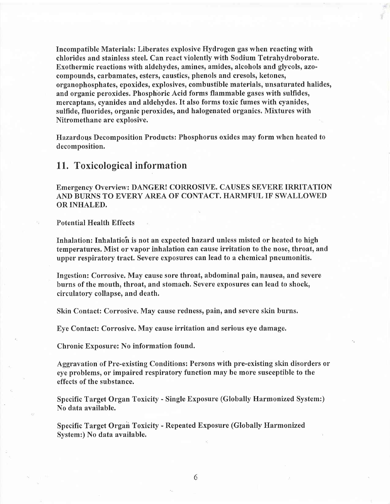Incompatible Materials: Liberates explosive Hydrogen gas when reacting with chlorides and stainless steel. Can react violently with Sodium Tetrahydroborate. Exothermic reactions with aldehydes, amines, amides, alcohols and glycols, azocompounds, carbamates, esters, caustics, phenols and cresols, ketones, organophosphates, epoxides, explosives, combustible materials, unsaturated halides, and organic peroxides. Phosphoric Acid forms flammable gases with sulfides, mercaptans, cyanides and aldehydes. It also forms toxic fumes with cyanides, sulfide, fluorides, organic peroxides, and halogenated organics. Mixtures with Nitromethane are explosive.

Hazardous Decomposition Products: Phosphorus oxides may form when heated to decomposition.

#### 11. Toxicological information

Emergency Overview: DANGER! CORROSIVE. CAUSES SEVERE IRRITATION AND BURNS TO EVERY AREA OF CONTACT. HARMFUL IF SWALLOWED OR INHALED.

Potential Health Effects

Inhalation: Inhalation is not an expected hazard unless misted or heated to high temperatures. Mist or vapor inhalation can cause irritation to the nose, throat, and upper respiratory tract. Severe exposures can lead to a chemical pneumonitis.

Ingestion: Corrosive. May cause sore throat, abdominal pain, nausea, and severe burns of the mouth, throat, and stomach. Severe exposures can lead to shock, circulatory collapse, and death.

Skin Contact: Corrosive. May cause redness, pain, and severe skin burns.

Eye Contact: Corrosive. May cause irritation and serious eye damage.

Chronic Exposure: No information found.

Aggravation of Pre-existing Conditions: Persons with pre-existing skin disorders or eye problems, or impaired respiratory function may be more susceptible to the effects of the substance.

Specific Target Organ Toxicity - Single Exposure (Globally Harmonized System:) No data available.

Specific Target Organ Toxicity - Repeated Exposure (Globally Harmonized System:) No data available.

6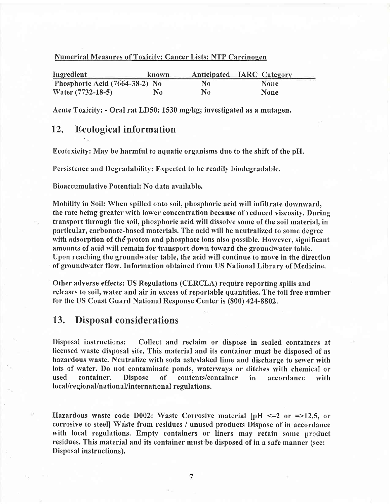#### Numerical Measures of Toxicity: Cancer Lists: NTP Carcinogen

| Ingredient                     | known. |    | Anticipated IARC Category |
|--------------------------------|--------|----|---------------------------|
| Phosphoric Acid (7664-38-2) No |        | No | <b>None</b>               |
| Water $(7732 - 18 - 5)$        | No     | N0 | <b>None</b>               |

Acute Toxicify: - Oral rat LD50: 1530 mg/kg; investigated as a mutagen.

### 12. Ecological information

Ecotoxicity: May be harmful to aquatic organisms due to the shift of the ptl.

Persistence and Degradabilify: Expected to be readily biodegradable.

Bioaccumulative Potential: No data available.

Mobility in Soil: When spilled onto soil, phosphoric acid will infiltrate downward, the rate being greater with lower concentration because of reduced viscosify. During transport through the soil, phosphoric acid will dissolve some of the soil material, in particular, carbonate-based materials. The acid will be neutralized to some degree with adsorption of the proton and phosphate ions also possible. However, significant amounts of acid will remain for transport down toward the groundwater table, Upon reaching the groundwater table, the acid will continue to move in the direction of groundwater flow. Information obtained from US National Library of Medicine.

Other adverse effects: US Regulations (CERCLA) require reporting spills and releases to soil, water and air in excess of reportable quantities. The toll free number for the US Coast Guard National Response Center is (800) 424-8802,

#### 13. Disposal considerations

Disposal instructions: Collect and reclaim or dispose in sealed containers at licensed waste disposal site. This material and its container must be disposed of as hazardous waste. Neutralize with soda ash/slaked lime and discharge to sewer with lots of water. Do not contaminate ponds, waterways or ditches with chemical or used container. Dispose of contents/container in accordance with local/regional/nationaVinternational regulations.

Hazardous waste code D002: Waste Corrosive material  $\text{pH} \leq 2$  or  $\text{m} \leq 12.5$ , or corrosive to steel] Waste from residues / unused products Dispose of in accordance with local regulations. Empty containers or liners may retain some product residues. This material and its container must be disposed of in a safe manner (see: Disposal instructions).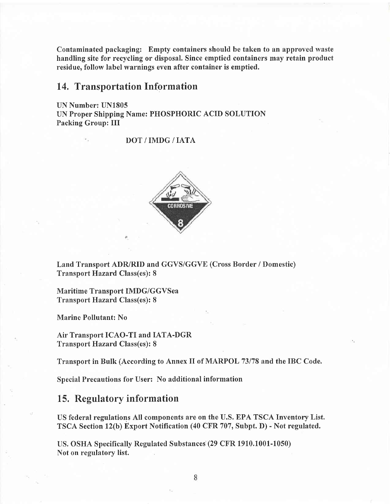Contaminated packaging: Empty containers should be taken to an approved waste handling site for recycling or disposal. Since emptied containers may retain product residue, follow label warnings even after container is emptied.

#### 14, Transportation Information

UN Number: UN1805 UN Proper Shipping Name: PHOSPHORIC ACID SOLUTION Packing Group: III

DOT/IMDG/IATA



Land Transport ADR/RID and GGVS/GGVE (Cross Border / Domestic) Transport Hazard Class(es): 8

Maritime Transport IMDG/GGVSea Transport Hazard Class(es): 8

Marine Pollutant: No

Air Transport ICAO-TI and IATA-DGR Transport Hazard Class(es): 8

Transport in Bulk (According to Annex II of MARPOL 73178 and the IBC Code.

Special Precautions for User: No additional information

#### 15. Regulatory information

US federal regulations All components are on the U.S. EPA TSCA Inventory List. TSCA Section 12(b) Export Notification (40 CFR 707, Subpt. D) - Not regulated.

US. OSHA Specifically Regulated Substances (29 CFR 1910.1001-1050) Not on regulatory list.

8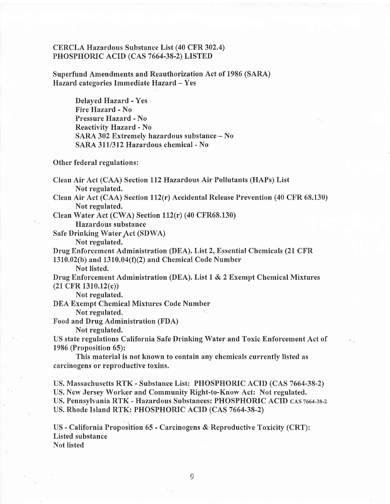#### CERCLA Hazardous Substance List (40 CFR 302.4) PHOSPHORIC ACID (CAS 7664-38-2) LISTED

Superfund Amendments and Reauthorization Act of 1986 (SARA) Hazard categories Immediate Hazard- Yes

> Delayed Hazard - Yes Fire Hazard - No Pressure Hazard - No Reactivity Hazard - No SARA 302 Extremely hazardous substance - No SARA 311/312 Hazardous chemical - No

Other federal regulations:

Clean Air Act (CAA) Section ll2Hazardous Air Pollutants (HAPs) List Not regulated.

Clean Air Act (CAA) Section ll2(r) Accidental Release Prevention (40 CFR 68.130) Not regulated.

Clean Water Act (CWA) Section  $112(r)$  (40 CFR68.130)

Hazardous substance

Safe Drinking Water Act (SDWA)

Not regulated.

Drug Enforcement Administration (DEA). List2, Essential Chemicals (21 CFR  $1310.02(b)$  and  $1310.04(f)(2)$  and Chemical Code Number

Not listed.

Drug Enforcement Administration (DEA). List I & 2 Exempt Chemical Mixtures (21 CFR 1310.12(c))

Not regulated.

DEA Exempt Chemical Mixtures Code Number

Not regulated,

Food and Drug Administration (FDA)

Not regulated.

US state regulations California Safe Drinking Water and Toxic Enforcement Act of 1986 (Proposition 65):

This material is not known to contain any chemicals currently listed as carcinogens or reproductive toxins.

US. Massachusetts RTK - Substance List: PHOSPHORIC ACID (CAS 7664-38-2) US, New Jersey Worker and Community Right-to-Know Act: Not regulated. US. Pennsylvania RTK - Hazardous Substances: PHOSPHORIC ACID CAS 7664-38-2 US. Rhode Island RTK: PHOSPHORIC ACID (CAS 7664-38-2)

US - California Proposition 65 - Carcinogens & Reproductive Toxicity (CRT): Listed substance Not listed